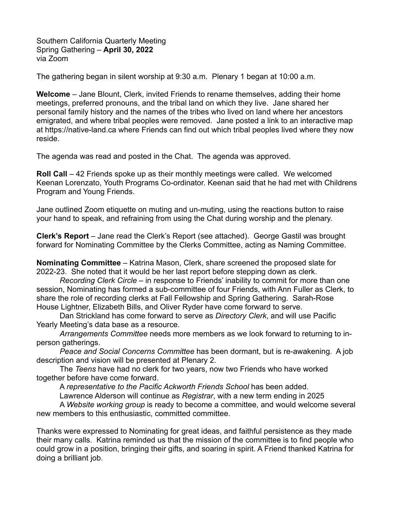Southern California Quarterly Meeting Spring Gathering – **April 30, 2022** via Zoom

The gathering began in silent worship at 9:30 a.m. Plenary 1 began at 10:00 a.m.

**Welcome** – Jane Blount, Clerk, invited Friends to rename themselves, adding their home meetings, preferred pronouns, and the tribal land on which they live. Jane shared her personal family history and the names of the tribes who lived on land where her ancestors emigrated, and where tribal peoples were removed. Jane posted a link to an interactive map at https://native-land.ca where Friends can find out which tribal peoples lived where they now reside.

The agenda was read and posted in the Chat. The agenda was approved.

**Roll Call** – 42 Friends spoke up as their monthly meetings were called. We welcomed Keenan Lorenzato, Youth Programs Co-ordinator. Keenan said that he had met with Childrens Program and Young Friends.

Jane outlined Zoom etiquette on muting and un-muting, using the reactions button to raise your hand to speak, and refraining from using the Chat during worship and the plenary.

**Clerk's Report** – Jane read the Clerk's Report (see attached). George Gastil was brought forward for Nominating Committee by the Clerks Committee, acting as Naming Committee.

**Nominating Committee** – Katrina Mason, Clerk, share screened the proposed slate for 2022-23. She noted that it would be her last report before stepping down as clerk.

*Recording Clerk Circle* – in response to Friends' inability to commit for more than one session, Nominating has formed a sub-committee of four Friends, with Ann Fuller as Clerk, to share the role of recording clerks at Fall Fellowship and Spring Gathering. Sarah-Rose House Lightner, Elizabeth Bills, and Oliver Ryder have come forward to serve.

Dan Strickland has come forward to serve as *Directory Clerk*, and will use Pacific Yearly Meeting's data base as a resource.

*Arrangements Committee* needs more members as we look forward to returning to inperson gatherings.

*Peace and Social Concerns Committee* has been dormant, but is re-awakening. A job description and vision will be presented at Plenary 2.

The *Teens* have had no clerk for two years, now two Friends who have worked together before have come forward.

A *representative to the Pacific Ackworth Friends School* has been added.

Lawrence Alderson will continue as *Registrar*, with a new term ending in 2025

A *Website working group* is ready to become a committee, and would welcome several new members to this enthusiastic, committed committee.

Thanks were expressed to Nominating for great ideas, and faithful persistence as they made their many calls. Katrina reminded us that the mission of the committee is to find people who could grow in a position, bringing their gifts, and soaring in spirit. A Friend thanked Katrina for doing a brilliant job.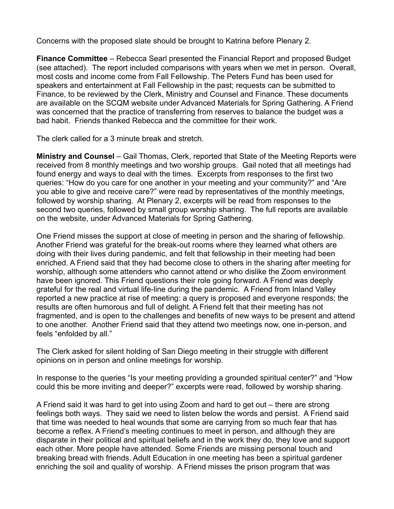Concerns with the proposed slate should be brought to Katrina before Plenary 2.

**Finance Committee** – Rebecca Searl presented the Financial Report and proposed Budget (see attached). The report included comparisons with years when we met in person. Overall, most costs and income come from Fall Fellowship. The Peters Fund has been used for speakers and entertainment at Fall Fellowship in the past; requests can be submitted to Finance, to be reviewed by the Clerk, Ministry and Counsel and Finance. These documents are available on the SCQM website under Advanced Materials for Spring Gathering. A Friend was concerned that the practice of transferring from reserves to balance the budget was a bad habit. Friends thanked Rebecca and the committee for their work.

The clerk called for a 3 minute break and stretch.

**Ministry and Counsel** – Gail Thomas, Clerk, reported that State of the Meeting Reports were received from 8 monthly meetings and two worship groups. Gail noted that all meetings had found energy and ways to deal with the times. Excerpts from responses to the first two queries: "How do you care for one another in your meeting and your community?" and "Are you able to give and receive care?" were read by representatives of the monthly meetings, followed by worship sharing. At Plenary 2, excerpts will be read from responses to the second two queries, followed by small group worship sharing. The full reports are available on the website, under Advanced Materials for Spring Gathering.

One Friend misses the support at close of meeting in person and the sharing of fellowship. Another Friend was grateful for the break-out rooms where they learned what others are doing with their lives during pandemic, and felt that fellowship in their meeting had been enriched. A Friend said that they had become close to others in the sharing after meeting for worship, although some attenders who cannot attend or who dislike the Zoom environment have been ignored. This Friend questions their role going forward. A Friend was deeply grateful for the real and virtual life-line during the pandemic. A Friend from Inland Valley reported a new practice at rise of meeting: a query is proposed and everyone responds; the results are often humorous and full of delight. A Friend felt that their meeting has not fragmented, and is open to the challenges and benefits of new ways to be present and attend to one another. Another Friend said that they attend two meetings now, one in-person, and feels "enfolded by all."

The Clerk asked for silent holding of San Diego meeting in their struggle with different opinions on in person and online meetings for worship.

In response to the queries "Is your meeting providing a grounded spiritual center?" and "How could this be more inviting and deeper?" excerpts were read, followed by worship sharing.

A Friend said it was hard to get into using Zoom and hard to get out – there are strong feelings both ways. They said we need to listen below the words and persist. A Friend said that time was needed to heal wounds that some are carrying from so much fear that has become a reflex. A Friend's meeting continues to meet in person, and although they are disparate in their political and spiritual beliefs and in the work they do, they love and support each other. More people have attended. Some Friends are missing personal touch and breaking bread with friends. Adult Education in one meeting has been a spiritual gardener enriching the soil and quality of worship. A Friend misses the prison program that was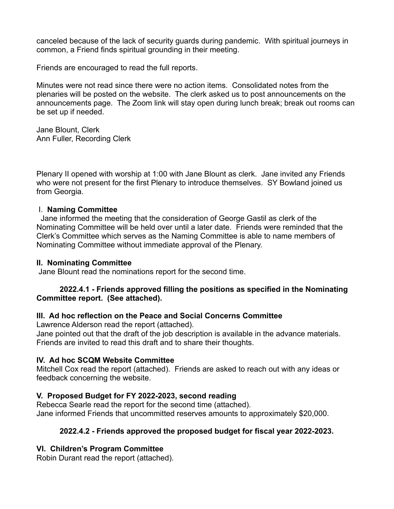canceled because of the lack of security guards during pandemic. With spiritual journeys in common, a Friend finds spiritual grounding in their meeting.

Friends are encouraged to read the full reports.

Minutes were not read since there were no action items. Consolidated notes from the plenaries will be posted on the website. The clerk asked us to post announcements on the announcements page. The Zoom link will stay open during lunch break; break out rooms can be set up if needed.

Jane Blount, Clerk Ann Fuller, Recording Clerk

Plenary II opened with worship at 1:00 with Jane Blount as clerk. Jane invited any Friends who were not present for the first Plenary to introduce themselves. SY Bowland joined us from Georgia.

## I. **Naming Committee**

 Jane informed the meeting that the consideration of George Gastil as clerk of the Nominating Committee will be held over until a later date. Friends were reminded that the Clerk's Committee which serves as the Naming Committee is able to name members of Nominating Committee without immediate approval of the Plenary.

## **II. Nominating Committee**

Jane Blount read the nominations report for the second time.

## **2022.4.1 - Friends approved filling the positions as specified in the Nominating Committee report. (See attached).**

# **III. Ad hoc reflection on the Peace and Social Concerns Committee**

Lawrence Alderson read the report (attached).

Jane pointed out that the draft of the job description is available in the advance materials. Friends are invited to read this draft and to share their thoughts.

# **IV. Ad hoc SCQM Website Committee**

Mitchell Cox read the report (attached). Friends are asked to reach out with any ideas or feedback concerning the website.

# **V. Proposed Budget for FY 2022-2023, second reading**

Rebecca Searle read the report for the second time (attached). Jane informed Friends that uncommitted reserves amounts to approximately \$20,000.

# **2022.4.2 - Friends approved the proposed budget for fiscal year 2022-2023.**

# **VI. Children's Program Committee**

Robin Durant read the report (attached).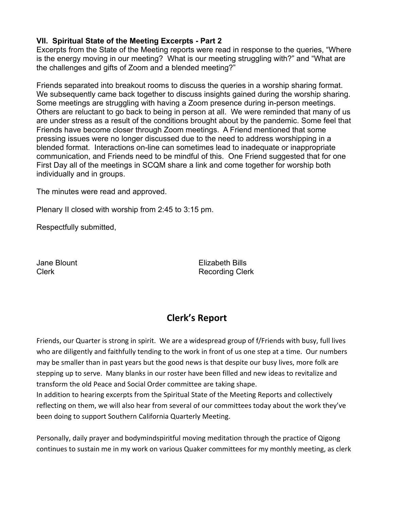# **VII. Spiritual State of the Meeting Excerpts - Part 2**

Excerpts from the State of the Meeting reports were read in response to the queries, "Where is the energy moving in our meeting? What is our meeting struggling with?" and "What are the challenges and gifts of Zoom and a blended meeting?"

Friends separated into breakout rooms to discuss the queries in a worship sharing format. We subsequently came back together to discuss insights gained during the worship sharing. Some meetings are struggling with having a Zoom presence during in-person meetings. Others are reluctant to go back to being in person at all. We were reminded that many of us are under stress as a result of the conditions brought about by the pandemic. Some feel that Friends have become closer through Zoom meetings. A Friend mentioned that some pressing issues were no longer discussed due to the need to address worshipping in a blended format. Interactions on-line can sometimes lead to inadequate or inappropriate communication, and Friends need to be mindful of this. One Friend suggested that for one First Day all of the meetings in SCQM share a link and come together for worship both individually and in groups.

The minutes were read and approved.

Plenary II closed with worship from 2:45 to 3:15 pm.

Respectfully submitted,

Jane Blount Elizabeth Bills Clerk **Recording Clerk** Recording Clerk

# **Clerk's Report**

Friends, our Quarter is strong in spirit. We are a widespread group of f/Friends with busy, full lives who are diligently and faithfully tending to the work in front of us one step at a time. Our numbers may be smaller than in past years but the good news is that despite our busy lives, more folk are stepping up to serve. Many blanks in our roster have been filled and new ideas to revitalize and transform the old Peace and Social Order committee are taking shape.

In addition to hearing excerpts from the Spiritual State of the Meeting Reports and collectively reflecting on them, we will also hear from several of our committees today about the work they've been doing to support Southern California Quarterly Meeting.

Personally, daily prayer and bodymindspiritful moving meditation through the practice of Qigong continues to sustain me in my work on various Quaker committees for my monthly meeting, as clerk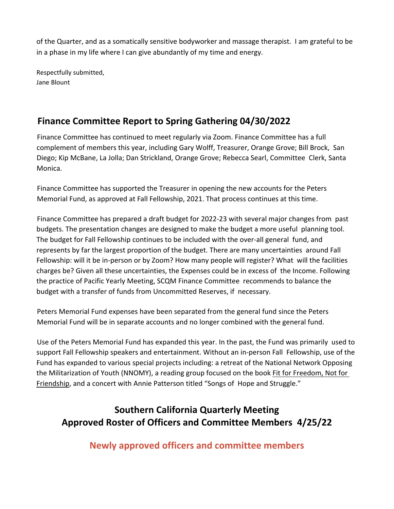of the Quarter, and as a somatically sensitive bodyworker and massage therapist. I am grateful to be in a phase in my life where I can give abundantly of my time and energy.

Respectfully submitted, Jane Blount

# **Finance Committee Report to Spring Gathering 04/30/2022**

Finance Committee has continued to meet regularly via Zoom. Finance Committee has a full complement of members this year, including Gary Wolff, Treasurer, Orange Grove; Bill Brock, San Diego; Kip McBane, La Jolla; Dan Strickland, Orange Grove; Rebecca Searl, Committee Clerk, Santa Monica.

Finance Committee has supported the Treasurer in opening the new accounts for the Peters Memorial Fund, as approved at Fall Fellowship, 2021. That process continues at this time.

Finance Committee has prepared a draft budget for 2022-23 with several major changes from past budgets. The presentation changes are designed to make the budget a more useful planning tool. The budget for Fall Fellowship continues to be included with the over-all general fund, and represents by far the largest proportion of the budget. There are many uncertainties around Fall Fellowship: will it be in-person or by Zoom? How many people will register? What will the facilities charges be? Given all these uncertainties, the Expenses could be in excess of the Income. Following the practice of Pacific Yearly Meeting, SCQM Finance Committee recommends to balance the budget with a transfer of funds from Uncommitted Reserves, if necessary.

Peters Memorial Fund expenses have been separated from the general fund since the Peters Memorial Fund will be in separate accounts and no longer combined with the general fund.

Use of the Peters Memorial Fund has expanded this year. In the past, the Fund was primarily used to support Fall Fellowship speakers and entertainment. Without an in-person Fall Fellowship, use of the Fund has expanded to various special projects including: a retreat of the National Network Opposing the Militarization of Youth (NNOMY), a reading group focused on the book Fit for Freedom, Not for Friendship, and a concert with Annie Patterson titled "Songs of Hope and Struggle."

# **Southern California Quarterly Meeting Approved Roster of Officers and Committee Members 4/25/22**

**Newly approved officers and committee members**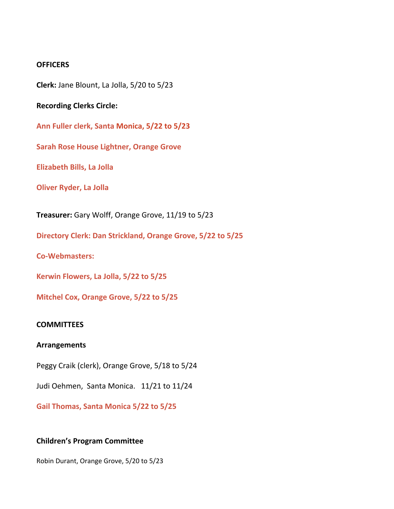#### **OFFICERS**

**Clerk:** Jane Blount, La Jolla, 5/20 to 5/23

**Recording Clerks Circle:** 

**Ann Fuller clerk, Santa Monica, 5/22 to 5/23**

**Sarah Rose House Lightner, Orange Grove**

**Elizabeth Bills, La Jolla**

**Oliver Ryder, La Jolla**

**Treasurer:** Gary Wolff, Orange Grove, 11/19 to 5/23

**Directory Clerk: Dan Strickland, Orange Grove, 5/22 to 5/25**

**Co-Webmasters:** 

**Kerwin Flowers, La Jolla, 5/22 to 5/25**

**Mitchel Cox, Orange Grove, 5/22 to 5/25**

#### **COMMITTEES**

#### **Arrangements**

Peggy Craik (clerk), Orange Grove, 5/18 to 5/24

Judi Oehmen, Santa Monica. 11/21 to 11/24

**Gail Thomas, Santa Monica 5/22 to 5/25**

#### **Children's Program Committee**

Robin Durant, Orange Grove, 5/20 to 5/23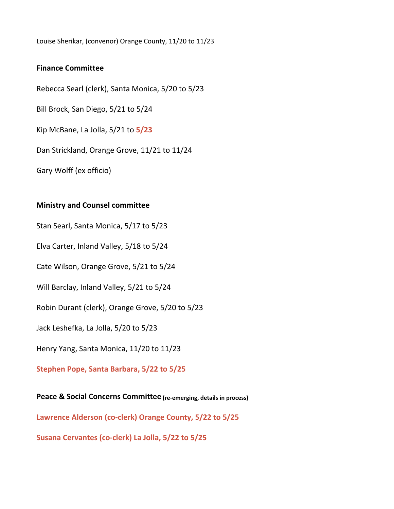Louise Sherikar, (convenor) Orange County, 11/20 to 11/23

## **Finance Committee**

Rebecca Searl (clerk), Santa Monica, 5/20 to 5/23 Bill Brock, San Diego, 5/21 to 5/24 Kip McBane, La Jolla, 5/21 to **5/23** Dan Strickland, Orange Grove, 11/21 to 11/24 Gary Wolff (ex officio)

## **Ministry and Counsel committee**

Stan Searl, Santa Monica, 5/17 to 5/23

Elva Carter, Inland Valley, 5/18 to 5/24

Cate Wilson, Orange Grove, 5/21 to 5/24

Will Barclay, Inland Valley, 5/21 to 5/24

Robin Durant (clerk), Orange Grove, 5/20 to 5/23

Jack Leshefka, La Jolla, 5/20 to 5/23

Henry Yang, Santa Monica, 11/20 to 11/23

**Stephen Pope, Santa Barbara, 5/22 to 5/25**

**Peace & Social Concerns Committee (re-emerging, details in process) Lawrence Alderson (co-clerk) Orange County, 5/22 to 5/25 Susana Cervantes (co-clerk) La Jolla, 5/22 to 5/25**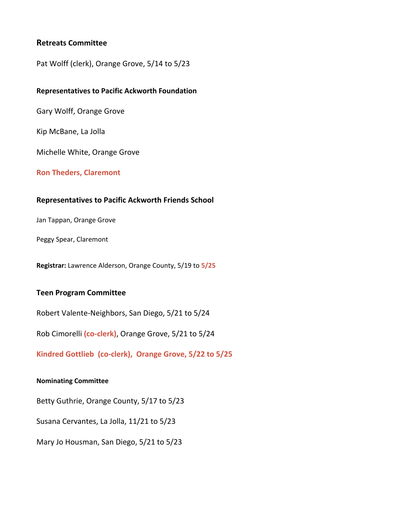## **Retreats Committee**

Pat Wolff (clerk), Orange Grove, 5/14 to 5/23

#### **Representatives to Pacific Ackworth Foundation**

Gary Wolff, Orange Grove

Kip McBane, La Jolla

Michelle White, Orange Grove

#### **Ron Theders, Claremont**

#### **Representatives to Pacific Ackworth Friends School**

Jan Tappan, Orange Grove

Peggy Spear, Claremont

**Registrar:** Lawrence Alderson, Orange County, 5/19 to **5/25**

#### **Teen Program Committee**

Robert Valente-Neighbors, San Diego, 5/21 to 5/24

Rob Cimorelli **(co-clerk)**, Orange Grove, 5/21 to 5/24

**Kindred Gottlieb (co-clerk), Orange Grove, 5/22 to 5/25**

#### **Nominating Committee**

Betty Guthrie, Orange County, 5/17 to 5/23 Susana Cervantes, La Jolla, 11/21 to 5/23 Mary Jo Housman, San Diego, 5/21 to 5/23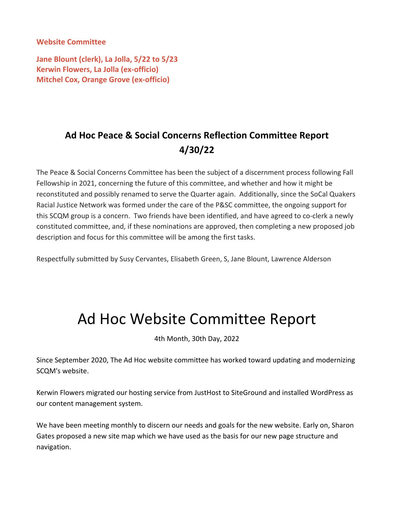**Website Committee**

**Jane Blount (clerk), La Jolla, 5/22 to 5/23 Kerwin Flowers, La Jolla (ex-officio) Mitchel Cox, Orange Grove (ex-officio)**

# **Ad Hoc Peace & Social Concerns Reflection Committee Report 4/30/22**

The Peace & Social Concerns Committee has been the subject of a discernment process following Fall Fellowship in 2021, concerning the future of this committee, and whether and how it might be reconstituted and possibly renamed to serve the Quarter again. Additionally, since the SoCal Quakers Racial Justice Network was formed under the care of the P&SC committee, the ongoing support for this SCQM group is a concern. Two friends have been identified, and have agreed to co-clerk a newly constituted committee, and, if these nominations are approved, then completing a new proposed job description and focus for this committee will be among the first tasks.

Respectfully submitted by Susy Cervantes, Elisabeth Green, S, Jane Blount, Lawrence Alderson

# Ad Hoc Website Committee Report

4th Month, 30th Day, 2022

Since September 2020, The Ad Hoc website committee has worked toward updating and modernizing SCQM's website.

Kerwin Flowers migrated our hosting service from JustHost to SiteGround and installed WordPress as our content management system.

We have been meeting monthly to discern our needs and goals for the new website. Early on, Sharon Gates proposed a new site map which we have used as the basis for our new page structure and navigation.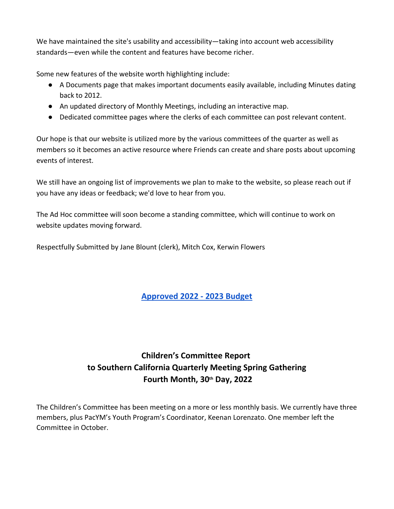We have maintained the site's usability and accessibility—taking into account web accessibility standards—even while the content and features have become richer.

Some new features of the website worth highlighting include:

- A Documents page that makes important documents easily available, including Minutes dating back to 2012.
- An updated directory of Monthly Meetings, including an interactive map.
- Dedicated committee pages where the clerks of each committee can post relevant content.

Our hope is that our website is utilized more by the various committees of the quarter as well as members so it becomes an active resource where Friends can create and share posts about upcoming events of interest.

We still have an ongoing list of improvements we plan to make to the website, so please reach out if you have any ideas or feedback; we'd love to hear from you.

The Ad Hoc committee will soon become a standing committee, which will continue to work on website updates moving forward.

Respectfully Submitted by Jane Blount (clerk), Mitch Cox, Kerwin Flowers

# **Approved 2022 - 2023 Budget**

# **Children's Committee Report to Southern California Quarterly Meeting Spring Gathering Fourth Month, 30th Day, 2022**

The Children's Committee has been meeting on a more or less monthly basis. We currently have three members, plus PacYM's Youth Program's Coordinator, Keenan Lorenzato. One member left the Committee in October.